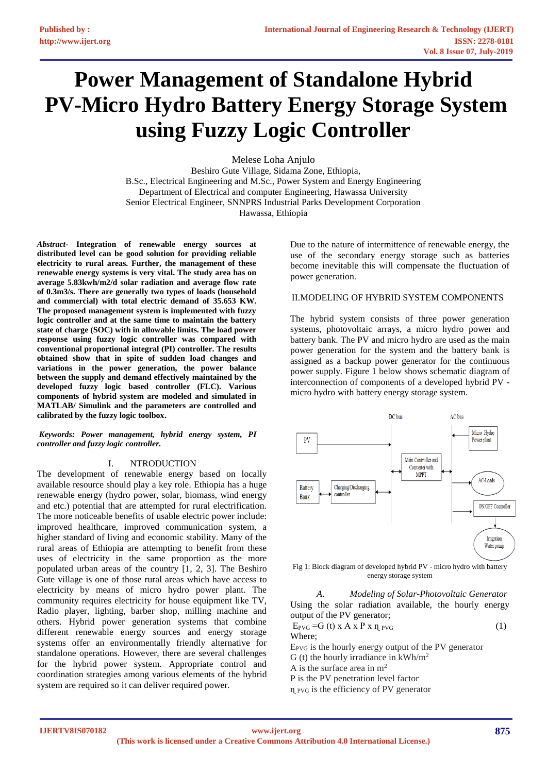# **Power Management of Standalone Hybrid PV-Micro Hydro Battery Energy Storage System using Fuzzy Logic Controller**

Melese Loha Anjulo Beshiro Gute Village, Sidama Zone, Ethiopia, B.Sc., Electrical Engineering and M.Sc., Power System and Energy Engineering Department of Electrical and computer Engineering, Hawassa University Senior Electrical Engineer, SNNPRS Industrial Parks Development Corporation Hawassa, Ethiopia

*Abstract***- Integration of renewable energy sources at distributed level can be good solution for providing reliable electricity to rural areas. Further, the management of these renewable energy systems is very vital. The study area has on average 5.83kwh/m2/d solar radiation and average flow rate of 0.3m3/s. There are generally two types of loads (household and commercial) with total electric demand of 35.653 KW. The proposed management system is implemented with fuzzy logic controller and at the same time to maintain the battery state of charge (SOC) with in allowable limits. The load power response using fuzzy logic controller was compared with conventional proportional integral (PI) controller. The results obtained show that in spite of sudden load changes and variations in the power generation, the power balance between the supply and demand effectively maintained by the developed fuzzy logic based controller (FLC). Various components of hybrid system are modeled and simulated in MATLAB/ Simulink and the parameters are controlled and calibrated by the fuzzy logic toolbox.**

*Keywords: Power management, hybrid energy system, PI controller and fuzzy logic controller.*

#### I. NTRODUCTION

The development of renewable energy based on locally available resource should play a key role. Ethiopia has a huge renewable energy (hydro power, solar, biomass, wind energy and etc.) potential that are attempted for rural electrification. The more noticeable benefits of usable electric power include: improved healthcare, improved communication system, a higher standard of living and economic stability. Many of the rural areas of Ethiopia are attempting to benefit from these uses of electricity in the same proportion as the more populated urban areas of the country [1, 2, 3]. The Beshiro Gute village is one of those rural areas which have access to electricity by means of micro hydro power plant. The community requires electricity for house equipment like TV, Radio player, lighting, barber shop, milling machine and others. Hybrid power generation systems that combine different renewable energy sources and energy storage systems offer an environmentally friendly alternative for standalone operations. However, there are several challenges for the hybrid power system. Appropriate control and coordination strategies among various elements of the hybrid system are required so it can deliver required power.

Due to the nature of intermittence of renewable energy, the use of the secondary energy storage such as batteries become inevitable this will compensate the fluctuation of power generation.

## II.MODELING OF HYBRID SYSTEM COMPONENTS

The hybrid system consists of three power generation systems, photovoltaic arrays, a micro hydro power and battery bank. The PV and micro hydro are used as the main power generation for the system and the battery bank is assigned as a backup power generator for the continuous power supply. Figure 1 below shows schematic diagram of interconnection of components of a developed hybrid PV micro hydro with battery energy storage system.



Fig 1: Block diagram of developed hybrid PV - micro hydro with battery energy storage system

*A. Modeling of Solar-Photovoltaic Generator* Using the solar radiation available, the hourly energy output of the PV generator;

 $E_{PVG} = G(t) \times A \times P \times \eta_{PVG}$  (1) Where;  $E_{PVG}$  is the hourly energy output of the PV generator

G (t) the hourly irradiance in  $kWh/m^2$ 

A is the surface area in  $m<sup>2</sup>$ 

P is the PV penetration level factor

 $\eta$  <sub>PVG</sub> is the efficiency of PV generator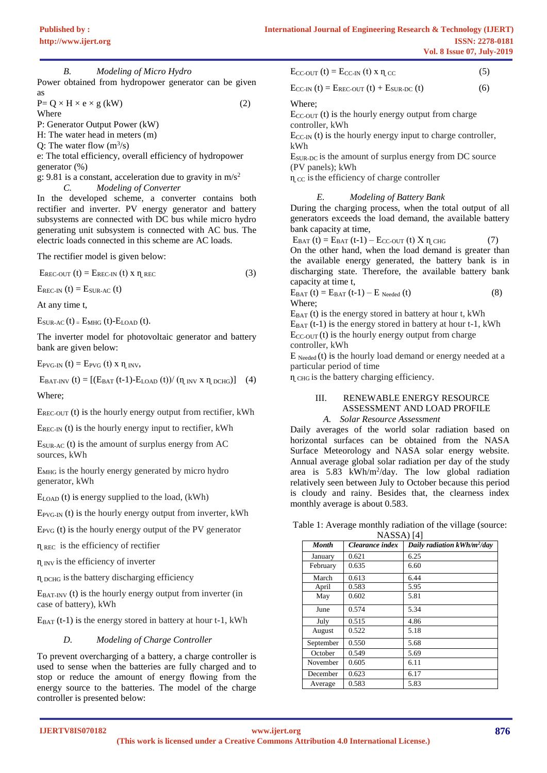*B. Modeling of Micro Hydro*  Power obtained from hydropower generator can be given as

$$
P = Q \times H \times e \times g (kW)
$$
 (2)  
Where

P: Generator Output Power (kW)

H: The water head in meters (m)

Q: The water flow  $(m^3/s)$ 

e: The total efficiency, overall efficiency of hydropower generator (%)

g: 9.81 is a constant, acceleration due to gravity in  $m/s^2$ *C. Modeling of Converter*

In the developed scheme, a converter contains both rectifier and inverter. PV energy generator and battery subsystems are connected with DC bus while micro hydro generating unit subsystem is connected with AC bus. The electric loads connected in this scheme are AC loads.

The rectifier model is given below:

 $E_{\text{REC-OUT}}(t) = E_{\text{REC-IN}}(t)$  x  $\eta_{\text{REC}}$  (3)

 $E_{\text{REG-IN}}(t) = E_{\text{SUB-AC}}(t)$ 

At any time t,

 $E_{SUR-AC}$  (t) =  $E_{MHG}$  (t)- $E_{LOAD}$  (t).

The inverter model for photovoltaic generator and battery bank are given below:

 $E_{\text{PVG-IN}}(t) = E_{\text{PVG}}(t)$  x  $\eta$  INV,

 $E_{BAT-INV} (t) = [(E_{BAT} (t-1)-E_{LOAD} (t))/(\eta_{INV} x \eta_{DCHG})]$  (4)

Where;

 $E_{REC\text{-OUT}}$  (t) is the hourly energy output from rectifier, kWh

 $E_{\text{REC-IN}}$  (t) is the hourly energy input to rectifier, kWh

 $E<sub>SUR-AC</sub>$  (t) is the amount of surplus energy from AC sources, kWh

EMHG is the hourly energy generated by micro hydro generator, kWh

ELOAD (t) is energy supplied to the load, (kWh)

 $E_{\text{PVG-IN}}$  (t) is the hourly energy output from inverter, kWh

 $E_{PVG}$  (t) is the hourly energy output of the PV generator

 $\eta$  REC is the efficiency of rectifier

 $\eta$  INV is the efficiency of inverter

ɳ DCHG isthe battery discharging efficiency

 $E<sub>BAT-INV</sub>$  (t) is the hourly energy output from inverter (in case of battery), kWh

 $E_{BAT}$  (t-1) is the energy stored in battery at hour t-1, kWh

## *D. Modeling of Charge Controller*

To prevent overcharging of a battery, a charge controller is used to sense when the batteries are fully charged and to stop or reduce the amount of energy flowing from the energy source to the batteries. The model of the charge controller is presented below:

| $E_{CC-OUT}$ (t) = $E_{CC-IN}$ (t) x $\eta_{CC}$ | (5) |
|--------------------------------------------------|-----|
|                                                  |     |

 $E_{CC-IN} (t) = E_{REC-OUT} (t) + E_{SUR-DC} (t)$  (6)

Where;

 $E_{CC-OUT}$  (t) is the hourly energy output from charge controller, kWh

 $E_{CC-IN}$  (t) is the hourly energy input to charge controller, kWh

 $E_{\text{SUR-DC}}$  is the amount of surplus energy from DC source (PV panels); kWh

 $\eta_{\text{CC}}$  is the efficiency of charge controller

## *E. Modeling of Battery Bank*

During the charging process, when the total output of all generators exceeds the load demand, the available battery bank capacity at time,

 $E_{BAT} (t) = E_{BAT} (t-1) - E_{CC-OUT} (t) X \eta_{CHG}$  (7) On the other hand, when the load demand is greater than the available energy generated, the battery bank is in discharging state. Therefore, the available battery bank capacity at time t,

$$
E_{BAT} (t) = E_{BAT} (t-1) - E_{Needed} (t)
$$
\nWhere; (8)

 $E_{BAT}$  (t) is the energy stored in battery at hour t, kWh  $E_{BAT}$  (t-1) is the energy stored in battery at hour t-1, kWh  $E_{CC-OUT}$  (t) is the hourly energy output from charge controller, kWh

 $E_{\text{Needed}}(t)$  is the hourly load demand or energy needed at a particular period of time

 $\eta$  CHG is the battery charging efficiency.

#### III. RENEWABLE ENERGY RESOURCE ASSESSMENT AND LOAD PROFILE *A. Solar Resource Assessment*

Daily averages of the world solar radiation based on horizontal surfaces can be obtained from the NASA Surface Meteorology and NASA solar energy website. Annual average global solar radiation per day of the study area is  $5.83$  kWh/m<sup>2</sup>/day. The low global radiation relatively seen between July to October because this period is cloudy and rainy. Besides that, the clearness index monthly average is about 0.583.

| <b>Month</b> | Clearance index | Daily radiation kWh/m <sup>2</sup> /day |
|--------------|-----------------|-----------------------------------------|
| January      | 0.621           | 6.25                                    |
| February     | 0.635           | 6.60                                    |
| March        | 0.613           | 6.44                                    |
| April        | 0.583           | 5.95                                    |
| May          | 0.602           | 5.81                                    |
| June         | 0.574           | 5.34                                    |
| July         | 0.515           | 4.86                                    |
| August       | 0.522           | 5.18                                    |
| September    | 0.550           | 5.68                                    |
| October      | 0.549           | 5.69                                    |
| November     | 0.605           | 6.11                                    |
| December     | 0.623           | 6.17                                    |
| Average      | 0.583           | 5.83                                    |

Table 1: Average monthly radiation of the village (source: NASSA) [4]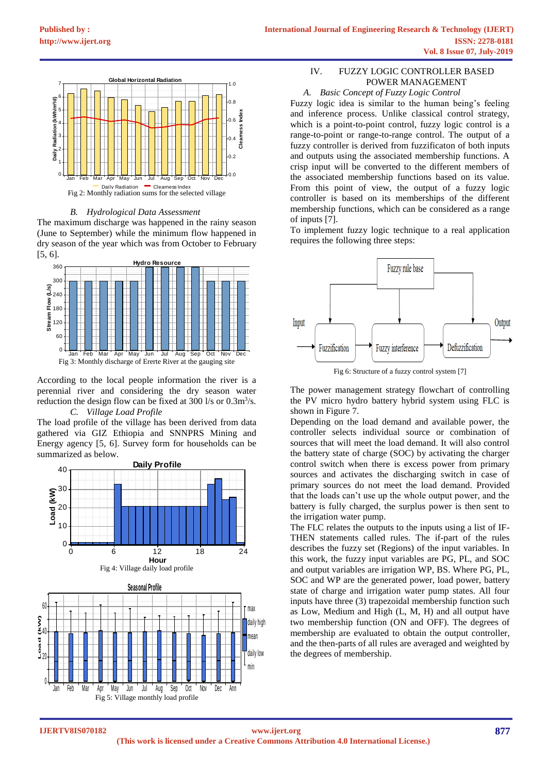

*B. Hydrological Data Assessment*

The maximum discharge was happened in the rainy season (June to September) while the minimum flow happened in dry season of the year which was from October to February [5, 6].



According to the local people information the river is a perennial river and considering the dry season water reduction the design flow can be fixed at  $300 \frac{1}{s}$  or  $0.3 \frac{m^3}{s}$ . *C. Village Load Profile*

The load profile of the village has been derived from data gathered via GIZ Ethiopia and SNNPRS Mining and Energy agency [5, 6]. Survey form for households can be summarized as below.



Fig 5: Village monthly load profile

Jan Feb Mar Apr May Jun Jul Aug Sep Oct Nov Dec Ann

# IV. FUZZY LOGIC CONTROLLER BASED POWER MANAGEMENT

## *A. Basic Concept of Fuzzy Logic Control*

Fuzzy logic idea is similar to the human being's feeling and inference process. Unlike classical control strategy, which is a point-to-point control, fuzzy logic control is a range-to-point or range-to-range control. The output of a fuzzy controller is derived from fuzzificaton of both inputs and outputs using the associated membership functions. A crisp input will be converted to the different members of the associated membership functions based on its value. From this point of view, the output of a fuzzy logic controller is based on its memberships of the different membership functions, which can be considered as a range of inputs [7].

To implement fuzzy logic technique to a real application requires the following three steps:



The power management strategy flowchart of controlling the PV micro hydro battery hybrid system using FLC is shown in Figure 7.

Depending on the load demand and available power, the controller selects individual source or combination of sources that will meet the load demand. It will also control the battery state of charge (SOC) by activating the charger control switch when there is excess power from primary sources and activates the discharging switch in case of primary sources do not meet the load demand. Provided that the loads can't use up the whole output power, and the battery is fully charged, the surplus power is then sent to the irrigation water pump.

The FLC relates the outputs to the inputs using a list of IF-THEN statements called rules. The if-part of the rules describes the fuzzy set (Regions) of the input variables. In this work, the fuzzy input variables are PG, PL, and SOC and output variables are irrigation WP, BS. Where PG, PL, SOC and WP are the generated power, load power, battery state of charge and irrigation water pump states. All four inputs have three (3) trapezoidal membership function such as Low, Medium and High (L, M, H) and all output have two membership function (ON and OFF). The degrees of membership are evaluated to obtain the output controller, and the then-parts of all rules are averaged and weighted by the degrees of membership.

**IJERTV8IS070182**

0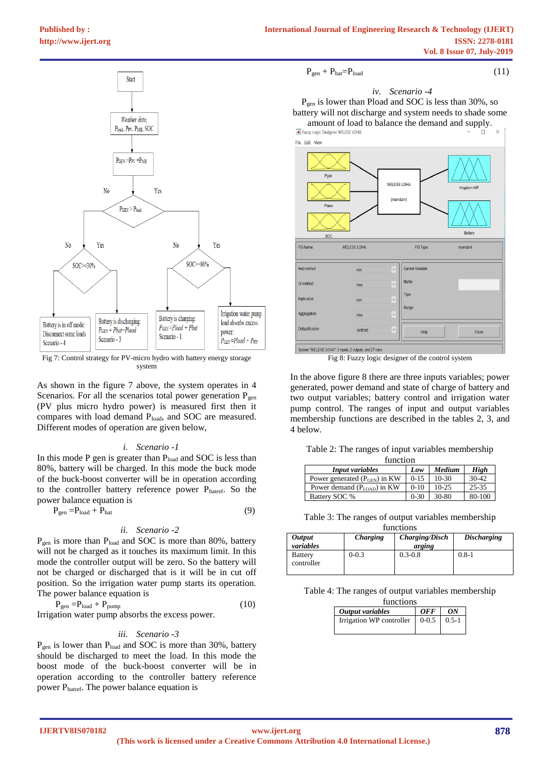Fig 7: Control strategy for PV-micro hydro with battery energy storage system

As shown in the figure 7 above, the system operates in 4 Scenarios. For all the scenarios total power generation  $P_{gen}$ (PV plus micro hydro power) is measured first then it compares with load demand P<sub>load</sub>, and SOC are measured. Different modes of operation are given below,

### *i. Scenario -1*

In this mode P gen is greater than  $P_{load}$  and SOC is less than 80%, battery will be charged. In this mode the buck mode of the buck-boost converter will be in operation according to the controller battery reference power Pbatref. So the power balance equation is

$$
P_{gen} = P_{load} + P_{bat}
$$
 (9)

## *ii. Scenario -2*

 $P_{gen}$  is more than  $P_{load}$  and SOC is more than 80%, battery will not be charged as it touches its maximum limit. In this mode the controller output will be zero. So the battery will not be charged or discharged that is it will be in cut off position. So the irrigation water pump starts its operation. The power balance equation is

$$
P_{gen} = P_{load} + P_{pump} \tag{10}
$$

Irrigation water pump absorbs the excess power.

#### *iii. Scenario -3*

P<sub>gen</sub> is lower than P<sub>load</sub> and SOC is more than 30%, battery should be discharged to meet the load. In this mode the boost mode of the buck-boost converter will be in operation according to the controller battery reference power Pbatref. The power balance equation is

$$
P_{gen} + P_{bat} = P_{load} \tag{11}
$$

$$
(11)
$$

# *iv. Scenario -4*

Pgen is lower than Pload and SOC is less than 30%, so battery will not discharge and system needs to shade some amount of load to balance the demand and supply.<br> $\blacksquare$  Fuzzy Logic Designer: MELESE LOHA





Fig 8: Fuzzy logic designer of the control system

In the above figure 8 there are three inputs variables; power generated, power demand and state of charge of battery and two output variables; battery control and irrigation water pump control. The ranges of input and output variables membership functions are described in the tables 2, 3, and 4 below.

|  |  |  | Table 2: The ranges of input variables membership |
|--|--|--|---------------------------------------------------|
|  |  |  |                                                   |

| function                               |           |         |             |  |  |  |  |
|----------------------------------------|-----------|---------|-------------|--|--|--|--|
| <b>Input variables</b>                 | Low       | Medium  | <b>High</b> |  |  |  |  |
| Power generated $(P_{GEN})$ in KW      | $0 - 1.5$ | $10-30$ | $30-42$     |  |  |  |  |
| Power demand $(P_{\text{LOAD}})$ in KW | $0-10$    | $10-25$ | $25 - 35$   |  |  |  |  |
| Battery SOC %                          | $0 - 30$  | 30-80   | 80-100      |  |  |  |  |

Table 3: The ranges of output variables membership functions

| <i><b>Output</b></i><br>variables | Charging  | <b>Charging/Disch</b><br>arging | <b>Discharging</b> |
|-----------------------------------|-----------|---------------------------------|--------------------|
| Battery<br>controller             | $0 - 0.3$ | $0.3 - 0.8$                     | $0.8 - 1$          |

Table 4: The ranges of output variables membership functions

| Tuncuons                 |            |           |
|--------------------------|------------|-----------|
| Output variables         | <i>OFF</i> | ON        |
| Irrigation WP controller | $0-0.5$    | $0.5 - 1$ |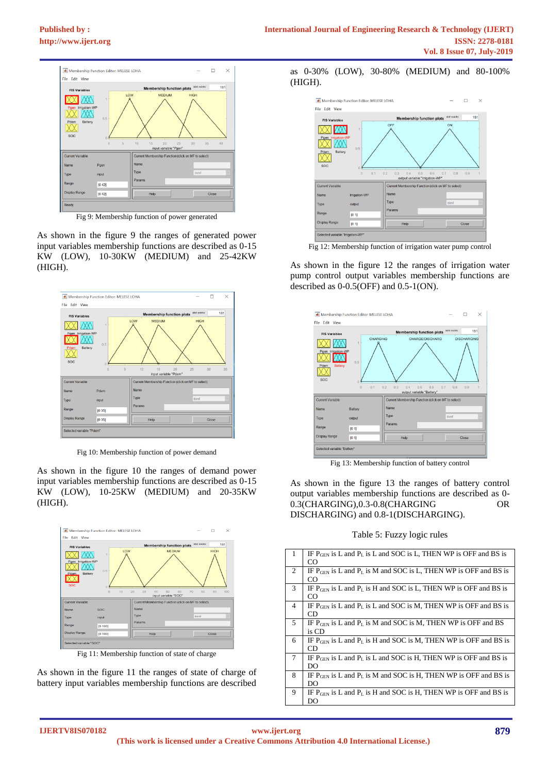

Fig 9: Membership function of power generated

As shown in the figure 9 the ranges of generated power input variables membership functions are described as 0-15 KW (LOW), 10-30KW (MEDIUM) and 25-42KW (HIGH).



Fig 10: Membership function of power demand

As shown in the figure 10 the ranges of demand power input variables membership functions are described as 0-15 KW (LOW), 10-25KW (MEDIUM) and 20-35KW (HIGH).



Fig 11: Membership function of state of charge

As shown in the figure 11 the ranges of state of charge of battery input variables membership functions are described

as 0-30% (LOW), 30-80% (MEDIUM) and 80-100% (HIGH).



Fig 12: Membership function of irrigation water pump control

As shown in the figure 12 the ranges of irrigation water pump control output variables membership functions are described as 0-0.5(OFF) and 0.5-1(ON).



Fig 13: Membership function of battery control

As shown in the figure 13 the ranges of battery control output variables membership functions are described as 0- 0.3(CHARGING),0.3-0.8(CHARGING OR DISCHARGING) and 0.8-1(DISCHARGING).

|  |  |  | Table 5: Fuzzy logic rules |  |  |
|--|--|--|----------------------------|--|--|
|--|--|--|----------------------------|--|--|

| IF $P_{\text{GEN}}$ is L and $P_L$ is L and SOC is L, THEN WP is OFF and BS is          |
|-----------------------------------------------------------------------------------------|
| CO                                                                                      |
| IF $P_{\text{GEN}}$ is L and $P_{\text{L}}$ is M and SOC is L, THEN WP is OFF and BS is |
| CO                                                                                      |
| IF $P_{GEN}$ is L and $P_L$ is H and SOC is L, THEN WP is OFF and BS is                 |
| CO                                                                                      |
| IF $P_{\text{GEN}}$ is L and $P_L$ is L and SOC is M, THEN WP is OFF and BS is          |
| CD                                                                                      |
| IF $P_{\text{GEN}}$ is L and $P_L$ is M and SOC is M, THEN WP is OFF and BS             |
| is CD                                                                                   |
| IF $P_{\text{GEN}}$ is L and $P_{\text{L}}$ is H and SOC is M, THEN WP is OFF and BS is |
| CD.                                                                                     |
| IF $P_{\text{GEN}}$ is L and $P_L$ is L and SOC is H, THEN WP is OFF and BS is          |
| DO                                                                                      |
| IF $P_{\text{GEN}}$ is L and $P_{\text{L}}$ is M and SOC is H, THEN WP is OFF and BS is |
| DO                                                                                      |
| IF $P_{\text{GEN}}$ is L and $P_{\text{L}}$ is H and SOC is H, THEN WP is OFF and BS is |
| DO                                                                                      |
|                                                                                         |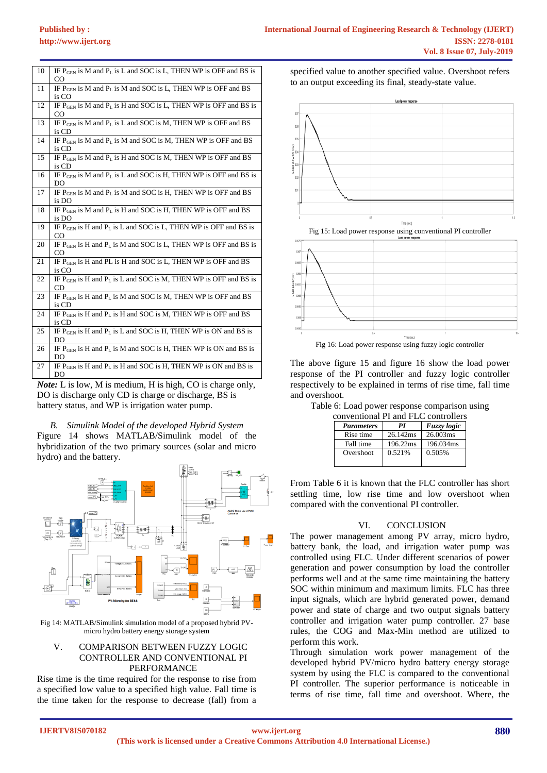| 10 | IF $P_{\text{GEN}}$ is M and $P_L$ is L and SOC is L, THEN WP is OFF and BS is<br>CO          |
|----|-----------------------------------------------------------------------------------------------|
| 11 | IF $P_{\text{GEN}}$ is M and $P_L$ is M and SOC is L, THEN WP is OFF and BS<br>is CO          |
| 12 | IF $P_{\text{GEN}}$ is M and $P_L$ is H and SOC is L, THEN WP is OFF and BS is<br>CO.         |
| 13 | IF $P_{\text{GEN}}$ is M and $P_L$ is L and SOC is M, THEN WP is OFF and BS<br>is CD          |
| 14 | IF $P_{\text{GEN}}$ is M and $P_L$ is M and SOC is M, THEN WP is OFF and BS<br>is CD          |
| 15 | IF $P_{\text{GEN}}$ is M and $P_L$ is H and SOC is M, THEN WP is OFF and BS<br>is CD          |
| 16 | IF $P_{\text{GEN}}$ is M and $P_L$ is L and SOC is H, THEN WP is OFF and BS is<br>DO.         |
| 17 | IF $P_{\text{GEN}}$ is M and $P_L$ is M and SOC is H, THEN WP is OFF and BS<br>is DO          |
| 18 | IF $P_{GEN}$ is M and $P_L$ is H and SOC is H, THEN WP is OFF and BS<br>is DO                 |
| 19 | IF $P_{\text{GEN}}$ is H and $P_L$ is L and SOC is L, THEN WP is OFF and BS is<br>CO          |
| 20 | IF $P_{\text{GEN}}$ is H and $P_L$ is M and SOC is L, THEN WP is OFF and BS is<br>CO          |
| 21 | IF $P_{\text{GEN}}$ is H and PL is H and SOC is L, THEN WP is OFF and BS<br>is CO             |
| 22 | IF P <sub>GEN</sub> is H and P <sub>L</sub> is L and SOC is M, THEN WP is OFF and BS is<br>CD |
| 23 | IF P <sub>GEN</sub> is H and P <sub>L</sub> is M and SOC is M, THEN WP is OFF and BS<br>is CD |
| 24 | IF P <sub>GEN</sub> is H and P <sub>L</sub> is H and SOC is M, THEN WP is OFF and BS<br>is CD |
| 25 | IF P <sub>GEN</sub> is H and P <sub>L</sub> is L and SOC is H, THEN WP is ON and BS is<br>DO  |
| 26 | IF $P_{\text{GEN}}$ is H and $P_L$ is M and SOC is H, THEN WP is ON and BS is<br>DO           |
| 27 | IF $P_{GEN}$ is H and $P_L$ is H and SOC is H, THEN WP is ON and BS is<br>DO                  |

*Note:* L is low, M is medium, H is high, CO is charge only, DO is discharge only CD is charge or discharge, BS is battery status, and WP is irrigation water pump.

*B. Simulink Model of the developed Hybrid System* Figure 14 shows MATLAB/Simulink model of the hybridization of the two primary sources (solar and micro hydro) and the battery.



Fig 14: MATLAB/Simulink simulation model of a proposed hybrid PVmicro hydro battery energy storage system

### V. COMPARISON BETWEEN FUZZY LOGIC CONTROLLER AND CONVENTIONAL PI PERFORMANCE

Rise time is the time required for the response to rise from a specified low value to a specified high value. Fall time is the [time](https://en.wikipedia.org/wiki/Time) taken for the response to decrease (fall) from a specified value to another specified value. Overshoot refers to an output exceeding its final, steady-state value.







Fig 16: Load power response using fuzzy logic controller

The above figure 15 and figure 16 show the load power response of the PI controller and fuzzy logic controller respectively to be explained in terms of rise time, fall time and overshoot.

| Table 6: Load power response comparison using |  |  |  |  |
|-----------------------------------------------|--|--|--|--|
|                                               |  |  |  |  |

| conventional PI and FLC controllers |          |                    |  |  |  |  |
|-------------------------------------|----------|--------------------|--|--|--|--|
| <b>Parameters</b>                   | РI       | <b>Fuzzy</b> logic |  |  |  |  |
| Rise time                           | 26.142ms | 26.003ms           |  |  |  |  |
| Fall time                           | 196.22ms | 196.034ms          |  |  |  |  |
| Overshoot                           | 0.521%   | 0.505%             |  |  |  |  |
|                                     |          |                    |  |  |  |  |

From Table 6 it is known that the FLC controller has short settling time, low rise time and low overshoot when compared with the conventional PI controller.

## VI. CONCLUSION

The power management among PV array, micro hydro, battery bank, the load, and irrigation water pump was controlled using FLC. Under different scenarios of power generation and power consumption by load the controller performs well and at the same time maintaining the battery SOC within minimum and maximum limits. FLC has three input signals, which are hybrid generated power, demand power and state of charge and two output signals battery controller and irrigation water pump controller. 27 base rules, the COG and Max-Min method are utilized to perform this work.

Through simulation work power management of the developed hybrid PV/micro hydro battery energy storage system by using the FLC is compared to the conventional PI controller. The superior performance is noticeable in terms of rise time, fall time and overshoot. Where, the